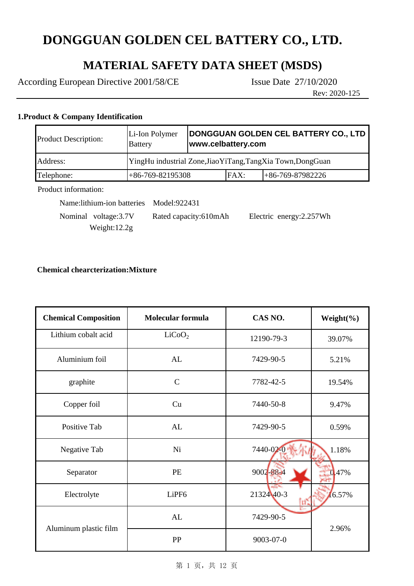## **MATERIAL SAFETY DATA SHEET (MSDS)**

According European Directive 2001/58/CE Issue Date 27/10/2020

Rev: 2020-125

### **1.Product & Company Identification**

| <b>Product Description:</b> | Li-Ion Polymer<br><b>Battery</b>                            | DONGGUAN GOLDEN CEL BATTERY CO., LTD<br>www.celbattery.com |      |                    |
|-----------------------------|-------------------------------------------------------------|------------------------------------------------------------|------|--------------------|
| Address:                    | YingHu industrial Zone, Jiao YiTang, TangXia Town, DongGuan |                                                            |      |                    |
| Telephone:                  | $+86-769-82195308$                                          |                                                            | FAX: | $+86-769-87982226$ |
| Product information:        |                                                             |                                                            |      |                    |

Product information:

Name:lithium-ion batteries Model:922431

 Nominal voltage:3.7V Rated capacity:610mAh Electric energy:2.257Wh Weight:12.2g

### **Chemical chearcterization:Mixture**

| <b>Chemical Composition</b> | <b>Molecular formula</b> | CAS NO.    | Weight $(\% )$ |
|-----------------------------|--------------------------|------------|----------------|
| Lithium cobalt acid         | LiCoO <sub>2</sub>       | 12190-79-3 | 39.07%         |
| Aluminium foil              | AL                       | 7429-90-5  | 5.21%          |
| graphite                    | $\mathsf{C}$             | 7782-42-5  | 19.54%         |
| Copper foil                 | Cu                       | 7440-50-8  | 9.47%          |
| Positive Tab                | AL                       | 7429-90-5  | 0.59%          |
| Negative Tab                | Ni                       | 7440-02-0  | 1.18%          |
| Separator                   | PE                       | 9002-88-4  | 0.47%          |
| Electrolyte                 | LiPF <sub>6</sub>        | 2132440-3  | 16.57%         |
|                             | AL                       | 7429-90-5  | 2.96%          |
| Aluminum plastic film       | PP                       | 9003-07-0  |                |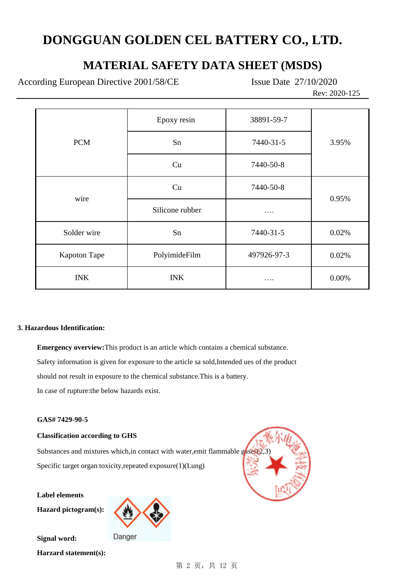### **MATERIAL SAFETY DATA SHEET (MSDS)**

According European Directive 2001/58/CE Issue Date 27/10/2020

Rev: 2020-125

|                     | Epoxy resin     | 38891-59-7  |       |
|---------------------|-----------------|-------------|-------|
| <b>PCM</b>          | Sn              | 7440-31-5   | 3.95% |
|                     | Cu              | 7440-50-8   |       |
|                     | Cu              | 7440-50-8   | 0.95% |
| wire                | Silicone rubber | .           |       |
| Solder wire         | Sn              | 7440-31-5   | 0.02% |
| <b>Kapoton Tape</b> | PolyimideFilm   | 497926-97-3 | 0.02% |
| <b>INK</b>          | <b>INK</b>      |             | 0.00% |

### **3. Hazardous Identification:**

Safety information is given for exposure to the article sa sold,Intended ues of the product should not result in exposure to the chemical substance.This is a battery. In case of rupture:the below hazards exist. **Emergency overview:**This product is an article which contains a chemical substance.

### **GAS# 7429-90-5**

### **Classification according to GHS**

Specific target organ toxicity,repeated exposure(1)(Lung) Substances and mixtures which, in contact with water, emit flammable  $g$  as est $2$ ,

**Label elements**

**Hazard pictogram(s):**



**Signal word:**

**Harzard statement(s):**

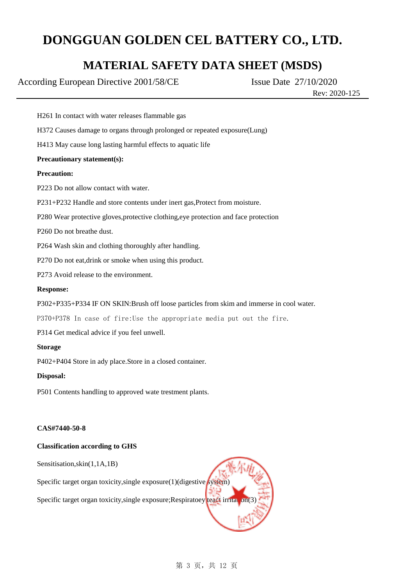### **MATERIAL SAFETY DATA SHEET (MSDS)**

According European Directive 2001/58/CE Issue Date 27/10/2020

Rev: 2020-125

P370+P378 In case of fire:Use the appropriate media put out the fire. P314 Get medical advice if you feel unwell. **Storage** P402+P404 Store in ady place.Store in a closed container. **Disposal: Precaution:** P260 Do not breathe dust. **CAS#7440-50-8 Classification according to GHS** P501 Contents handling to approved wate trestment plants. **Response:** P273 Avoid release to the environment. **Precautionary statement(s):** P302+P335+P334 IF ON SKIN:Brush off loose particles from skim and immerse in cool water. H372 Causes damage to organs through prolonged or repeated exposure(Lung) P231+P232 Handle and store contents under inert gas,Protect from moisture. P280 Wear protective gloves,protective clothing,eye protection and face protection P223 Do not allow contact with water. H413 May cause long lasting harmful effects to aquatic life H261 In contact with water releases flammable gas P264 Wash skin and clothing thoroughly after handling. P270 Do not eat,drink or smoke when using this product.

Sensitisation,skin(1,1A,1B)

Specific target organ toxicity, single exposure(1)(digestive system)

Specific target organ toxicity, single exposure; Respiratoey teact irritation(3)

### 第 3 页, 共 12 页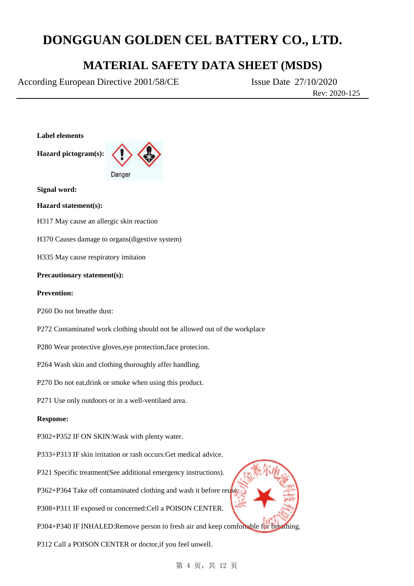### **MATERIAL SAFETY DATA SHEET (MSDS)**

According European Directive 2001/58/CE Issue Date 27/10/2020

Rev: 2020-125

**Label elements**

**Hazard pictogram(s):**



**Signal word:**

**Hazard statement(s):**

H317 May cause an allergic skin reaction

H370 Causes damage to organs(digestive system)

H335 May cause respiratory imitaion

### **Precautionary statement(s):**

### **Prevention:**

P260 Do not breathe dust:

- P272 Contaminated work clothing should not be allowed out of the workplace
- P280 Wear protective gloves,eye protection,face protecion.
- P264 Wash skin and clothing thoroughly affer handling.
- P270 Do not eat,drink or smoke when using this product.
- P271 Use only outdoors or in a well-ventilaed area.

#### **Response:**

- P302+P352 IF ON SKIN:Wask with plenty water.
- P333+P313 IF skin irritation or rash occurs:Get medical advice.
- P321 Specific treatment(See additional emergency instructions).
- P362+P364 Take off contaminated clothing and wash it before reuse.
- P308+P311 IF exposed or concerned:Cell a POISON CENTER.
- P304+P340 IF INHALED:Remove person to fresh air and keep comfortable for breathing.

P312 Call a POISON CENTER or doctor,if you feel unwell.

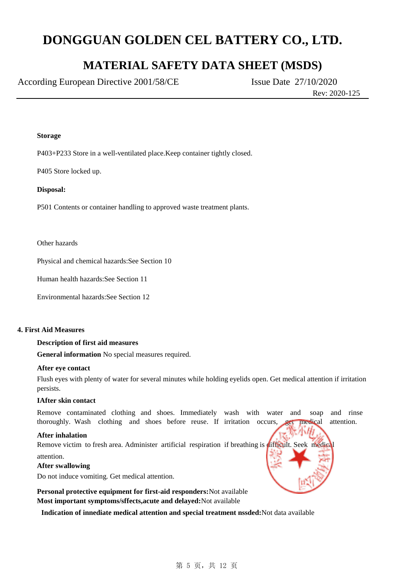### **MATERIAL SAFETY DATA SHEET (MSDS)**

According European Directive 2001/58/CE Issue Date 27/10/2020

Rev: 2020-125

#### **Storage**

P403+P233 Store in a well-ventilated place.Keep container tightly closed.

P405 Store locked up.

#### **Disposal:**

P501 Contents or container handling to approved waste treatment plants.

Other hazards

Physical and chemical hazards:See Section 10

Human health hazards:See Section 11

Environmental hazards:See Section 12

#### **4. First Aid Measures**

### **Description of first aid measures**

**General information** No special measures required.

#### **After eye contact**

Flush eyes with plenty of water for several minutes while holding eyelids open. Get medical attention if irritation persists.

#### **IAfter skin contact**

Remove contaminated clothing and shoes. Immediately wash with water and soap and rinse thoroughly. Wash clothing and shoes before reuse. If irritation occurs, get medical attention.

#### **After inhalation**

attention. Remove victim to fresh area. Administer artificial respiration if breathing is difficult. Seek medic

#### **After swallowing**

Do not induce vomiting. Get medical attention.

**Personal protective equipment for first-aid responders:**Not available **Most important symptoms/sffects,acute and delayed:**Not available

 **Indication of innediate medical attention and special treatment nssded:**Not data available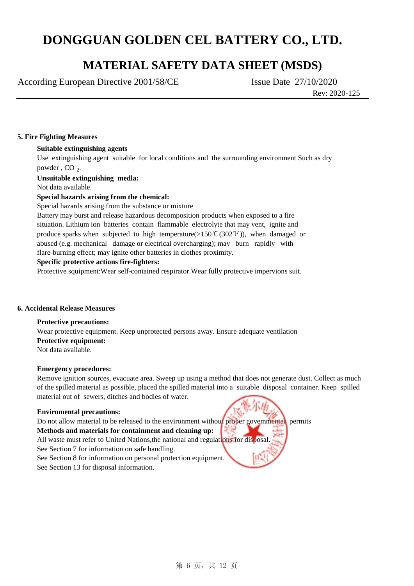### **MATERIAL SAFETY DATA SHEET (MSDS)**

According European Directive 2001/58/CE Issue Date 27/10/2020

Rev: 2020-125

### **5. Fire Fighting Measures**

### **Suitable extinguishing agents**

Use extinguishing agent suitable for local conditions and the surrounding environment Such as dry powder, CO<sub>2</sub>.

**Unsuitable extinguishing medla:**

Not data available.

### **Special hazards arising from the chemical:**

Special hazards arising from the substance or mixture

Battery may burst and release hazardous decomposition products when exposed to a fire situation. Lithium ion batteries contain flammable electrolyte that may vent, ignite and produce sparks when subjected to high temperature( $>150°C(302°F)$ ), when damaged or abused (e.g. mechanical damage or electrical overcharging); may burn rapidly with flare-burning effect; may ignite other batteries in clothes proximity.

### **Specific protective actions fire-fighters:**

Protective squipment:Wear self-contained respirator.Wear fully protective impervions suit.

### **6. Accidental Release Measures**

### **Protective precautions:**

Wear protective equipment. Keep unprotected persons away. Ensure adequate ventilation **Protective equipment:** Not data available.

### **Emergency procedures:**

Remove ignition sources, evacuate area. Sweep up using a method that does not generate dust. Collect as much of the spilled material as possible, placed the spilled material into a suitable disposal container. Keep spilled material out of sewers, ditches and bodies of water.

#### **Enviromental precautions:**

Do not allow material to be released to the environment without proper govemmental permits **Methods and materials for containment and cleaning up:** All waste must refer to United Nations, the national and regulations for disposal. See Section 7 for information on safe handling. See Section 8 for information on personal protection equipment. See Section 13 for disposal information.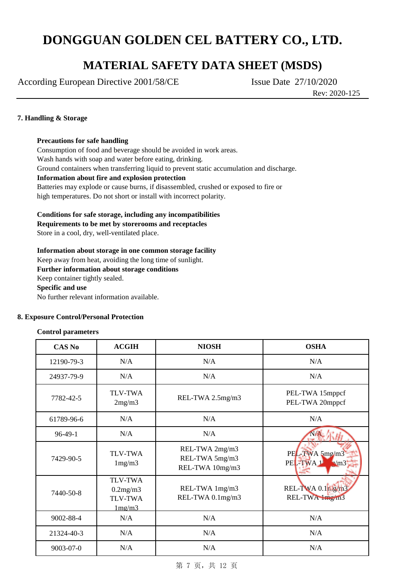### **MATERIAL SAFETY DATA SHEET (MSDS)**

According European Directive 2001/58/CE Issue Date 27/10/2020

Rev: 2020-125

### **7. Handling & Storage**

**Precautions for safe handling**

Consumption of food and beverage should be avoided in work areas. Wash hands with soap and water before eating, drinking. Ground containers when transferring liquid to prevent static accumulation and discharge. **Information about fire and explosion protection** Batteries may explode or cause burns, if disassembled, crushed or exposed to fire or high temperatures. Do not short or install with incorrect polarity.

**Conditions for safe storage, including any incompatibilities**

**Requirements to be met by storerooms and receptacles**

Store in a cool, dry, well-ventilated place.

### **Information about storage in one common storage facility**

Keep away from heat, avoiding the long time of sunlight. **Further information about storage conditions** Keep container tightly sealed. **Specific and use** No further relevant information available.

### **8. Exposure Control/Personal Protection**

### **Control parameters**

| <b>CAS No</b> | <b>ACGIH</b>                                                    | <b>NIOSH</b>                                        | <b>OSHA</b>                                |
|---------------|-----------------------------------------------------------------|-----------------------------------------------------|--------------------------------------------|
| 12190-79-3    | N/A                                                             | N/A                                                 | N/A                                        |
| 24937-79-9    | N/A                                                             | N/A                                                 | N/A                                        |
| 7782-42-5     | <b>TLV-TWA</b><br>2mg/m3                                        | REL-TWA 2.5mg/m3                                    | PEL-TWA 15mppcf<br>PEL-TWA 20mppcf         |
| 61789-96-6    | N/A                                                             | N/A                                                 | N/A                                        |
| $96-49-1$     | N/A                                                             | N/A                                                 |                                            |
| 7429-90-5     | <b>TLV-TWA</b><br>1mg/m3                                        | REL-TWA 2mg/m3<br>REL-TWA 5mg/m3<br>REL-TWA 10mg/m3 | PEL-TWA 5mg/m3<br>PEL-TWA1<br>$\mathbf{m}$ |
| 7440-50-8     | <b>TLV-TWA</b><br>0.2mg/m3<br><b>TLV-TWA</b><br>$1 \text{mg/m}$ | REL-TWA 1mg/m3<br>REL-TWA 0.1mg/m3                  | REL-TWA 0.1ng/m3<br>REL-TWA Img/m3         |
| 9002-88-4     | N/A                                                             | N/A                                                 | N/A                                        |
| 21324-40-3    | N/A                                                             | N/A                                                 | N/A                                        |
| 9003-07-0     | N/A                                                             | N/A                                                 | N/A                                        |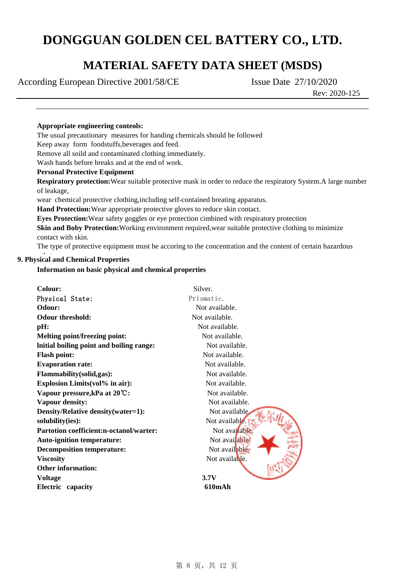### **MATERIAL SAFETY DATA SHEET (MSDS)**

According European Directive 2001/58/CE Issue Date 27/10/2020

Rev: 2020-125

### **Appropriate engineering conteols:**

The usual precautionary measures for handing chemicals should be followed

Keep away form foodstuffs,beverages and feed.

Remove all soild and contaminated clothing immediately.

Wash hands before breaks and at the end of work.

### **Personal Protective Equipment**

**Respiratory protection:**Wear suitable protective mask in order to reduce the respiratory System.A large number of leakage,

wear chemical protective clothing,including self-contained breating apparatus.

**Hand Protection:**Wear appropriate protective gloves to reduce skin contact.

**Eyes Protection:**Wear safety goggles or eye protection cimbined with respiratory protection

**Skin and Boby Protection:** Working environment required, wear suitable protective clothing to minimize contact with skin.

The type of protective equipment must be accoring to the concentration and the content of certain hazardous

### **9. Physical and Chemical Properties**

### **Information on basic physical and chemical properties**

| Colour:                                  | Silver.        |
|------------------------------------------|----------------|
| Physical State:                          | Prismatic.     |
| Odour:                                   | Not available. |
| <b>Odour threshold:</b>                  | Not available. |
| pH:                                      | Not available. |
| <b>Melting point/freezing point:</b>     | Not available. |
| Initial boiling point and boiling range: | Not available. |
| <b>Flash point:</b>                      | Not available. |
| <b>Evaporation rate:</b>                 | Not available. |
| Flammability(solid,gas):                 | Not available. |
| <b>Explosion Limits (vol% in air):</b>   | Not available. |
| Vapour pressure, kPa at 20°C:            | Not available. |
| <b>Vapour density:</b>                   | Not available. |
| Density/Relative density(water=1):       | Not available. |
| solubility(ies):                         | Not available. |
| Partotion coefficient:n-octanol/warter:  | Not available  |
| <b>Auto-ignition temperature:</b>        | Not available  |
| <b>Decomposition temperature:</b>        | Not available. |
| <b>Viscosity</b>                         | Not available. |
| <b>Other information:</b>                |                |
| <b>Voltage</b>                           | 3.7V           |
| Electric capacity                        | 610mAh         |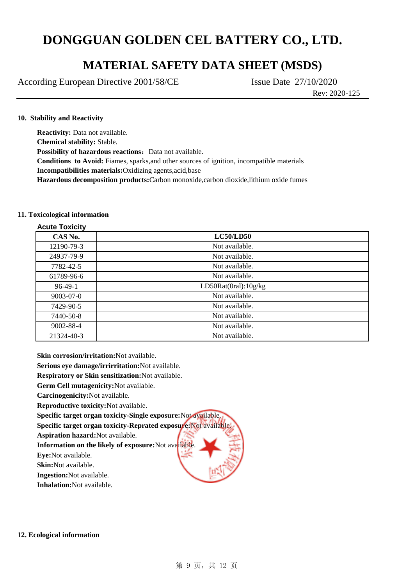### **MATERIAL SAFETY DATA SHEET (MSDS)**

According European Directive 2001/58/CE Issue Date 27/10/2020

Rev: 2020-125

### **10. Stability and Reactivity**

**Reactivity:** Data not available. **Chemical stability:** Stable. **Possibility of hazardous reactions:** Data not available. **Conditions to Avoid:** Fiames, sparks,and other sources of ignition, incompatible materials **Incompatibilities materials:**Oxidizing agents,acid,base **Hazardous decomposition products:**Carbon monoxide,carbon dioxide,lithium oxide fumes

### **11. Toxicological information**

| <b>Acute Toxicity</b> |                      |
|-----------------------|----------------------|
| CAS No.               | LC50/LD50            |
| 12190-79-3            | Not available.       |
| 24937-79-9            | Not available.       |
| 7782-42-5             | Not available.       |
| 61789-96-6            | Not available.       |
| $96-49-1$             | LD50Rat(0ral):10g/kg |
| $9003 - 07 - 0$       | Not available.       |
| 7429-90-5             | Not available.       |
| 7440-50-8             | Not available.       |
| 9002-88-4             | Not available.       |
| 21324-40-3            | Not available.       |

**Skin corrosion/irritation:**Not available.

**Serious eye damage/irrirritation:**Not available.

**Respiratory or Skin sensitization:**Not available.

**Germ Cell mutagenicity:**Not available.

**Carcinogenicity:**Not available.

**Reproductive toxicity:**Not available.

**Specific target organ toxicity-Single exposure:**Not available.

**Specific target organ toxicity-Reprated exposure:**Not available.

**Aspiration hazard:**Not available.

**Information on the likely of exposure:**Not available.

**Eye:**Not available.

**Skin:**Not available.

**Ingestion:**Not available.

**Inhalation:**Not available.

#### **12. Ecological information**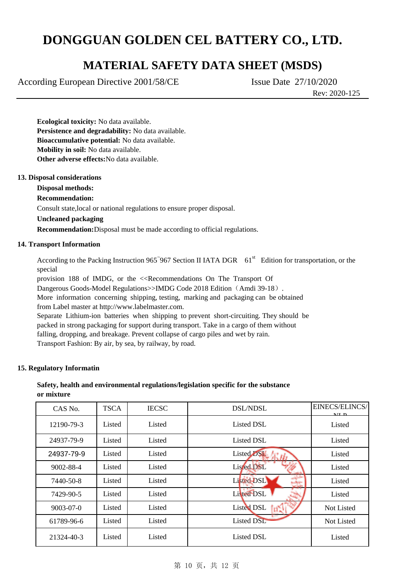### **MATERIAL SAFETY DATA SHEET (MSDS)**

According European Directive 2001/58/CE Issue Date 27/10/2020

Rev: 2020-125

**Ecological toxicity:** No data available. **Persistence and degradability:** No data available. **Bioaccumulative potential:** No data available. **Mobility in soil:** No data available. **Other adverse effects:**No data available.

### **13. Disposal considerations**

### **Disposal methods:**

### **Recommendation:**

Consult state,local or national regulations to ensure proper disposal.

### **Uncleaned packaging**

**Recommendation:**Disposal must be made according to official regulations.

### **14. Transport Information**

According to the Packing Instruction 965~967 Section II IATA DGR 61<sup>st</sup> Edition for transportation, or the special

provision 188 of IMDG, or the <<Recommendations On The Transport Of

Dangerous Goods-Model Regulations>>IMDG Code 2018 Edition (Amdi 39-18).

More information concerning shipping, testing, marking and packaging can be obtained from Label master at http://www.labelmaster.com.

Separate Lithium-ion batteries when shipping to prevent short-circuiting. They should be packed in strong packaging for support during transport. Take in a cargo of them without falling, dropping, and breakage. Prevent collapse of cargo piles and wet by rain. Transport Fashion: By air, by sea, by railway, by road.

### **15. Regulatory Informatin**

### **Safety, health and environmental regulations/legislation specific for the substance or mixture**

| CAS No.    | <b>TSCA</b> | <b>IECSC</b> | <b>DSL/NDSL</b>   | EINECS/ELINCS/<br>MTD |
|------------|-------------|--------------|-------------------|-----------------------|
| 12190-79-3 | Listed      | Listed       | <b>Listed DSL</b> | Listed                |
| 24937-79-9 | Listed      | Listed       | <b>Listed DSL</b> | Listed                |
| 24937-79-9 | Listed      | Listed       | Listed DSL 尔山     | Listed                |
| 9002-88-4  | Listed      | Listed       | Listed DSL        | Listed                |
| 7440-50-8  | Listed      | Listed       | Listed DSL        | Listed                |
| 7429-90-5  | Listed      | Listed       | Listed DSL        | Listed                |
| 9003-07-0  | Listed      | Listed       | Listed DSL<br>ĪЕÑ | Not Listed            |
| 61789-96-6 | Listed      | Listed       | <b>Listed DSL</b> | Not Listed            |
| 21324-40-3 | Listed      | Listed       | Listed DSL        | Listed                |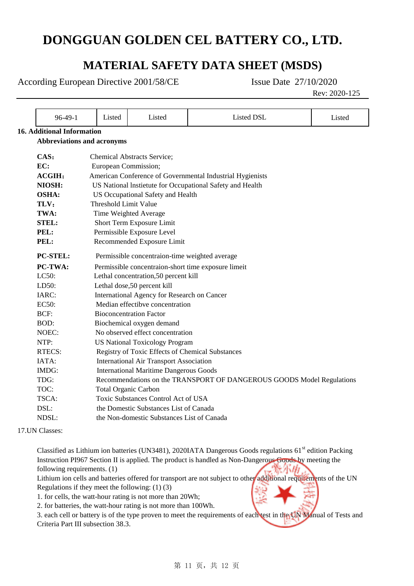### **MATERIAL SAFETY DATA SHEET (MSDS)**

According European Directive 2001/58/CE Issue Date 27/10/2020

Rev: 2020-125

| $96-49-1$                                                                                                                                                                                                                                                          | Listed                                      | Listed                                              | Listed DSL                                                            | Listed |  |  |  |
|--------------------------------------------------------------------------------------------------------------------------------------------------------------------------------------------------------------------------------------------------------------------|---------------------------------------------|-----------------------------------------------------|-----------------------------------------------------------------------|--------|--|--|--|
| <b>16. Additional Information</b>                                                                                                                                                                                                                                  |                                             |                                                     |                                                                       |        |  |  |  |
| <b>Abbreviations and acronyms</b>                                                                                                                                                                                                                                  |                                             |                                                     |                                                                       |        |  |  |  |
|                                                                                                                                                                                                                                                                    |                                             |                                                     |                                                                       |        |  |  |  |
| CAS:                                                                                                                                                                                                                                                               |                                             | Chemical Abstracts Service;                         |                                                                       |        |  |  |  |
| EC:                                                                                                                                                                                                                                                                | European Commission;                        |                                                     |                                                                       |        |  |  |  |
| ACGIH:                                                                                                                                                                                                                                                             |                                             |                                                     | American Conference of Governmental Industrial Hygienists             |        |  |  |  |
| NIOSH:                                                                                                                                                                                                                                                             |                                             |                                                     | US National Instietute for Occupational Safety and Health             |        |  |  |  |
| <b>OSHA:</b>                                                                                                                                                                                                                                                       |                                             | US Occupational Safety and Health                   |                                                                       |        |  |  |  |
| TLV:                                                                                                                                                                                                                                                               | <b>Threshold Limit Value</b>                |                                                     |                                                                       |        |  |  |  |
| TWA:                                                                                                                                                                                                                                                               |                                             | Time Weighted Average                               |                                                                       |        |  |  |  |
| <b>STEL:</b>                                                                                                                                                                                                                                                       |                                             | Short Term Exposure Limit                           |                                                                       |        |  |  |  |
| PEL:                                                                                                                                                                                                                                                               |                                             | Permissible Exposure Level                          |                                                                       |        |  |  |  |
| PEL:                                                                                                                                                                                                                                                               |                                             | Recommended Exposure Limit                          |                                                                       |        |  |  |  |
| <b>PC-STEL:</b>                                                                                                                                                                                                                                                    |                                             | Permissible concentraion-time weighted average      |                                                                       |        |  |  |  |
| <b>PC-TWA:</b>                                                                                                                                                                                                                                                     |                                             | Permissible concentraion-short time exposure limeit |                                                                       |        |  |  |  |
| LC50:                                                                                                                                                                                                                                                              | Lethal concentration, 50 percent kill       |                                                     |                                                                       |        |  |  |  |
| LD50:                                                                                                                                                                                                                                                              |                                             | Lethal dose,50 percent kill                         |                                                                       |        |  |  |  |
| IARC:                                                                                                                                                                                                                                                              | International Agency for Research on Cancer |                                                     |                                                                       |        |  |  |  |
| EC50:                                                                                                                                                                                                                                                              | Median effectibve concentration             |                                                     |                                                                       |        |  |  |  |
| BCF:                                                                                                                                                                                                                                                               | <b>Bioconcentration Factor</b>              |                                                     |                                                                       |        |  |  |  |
| BOD:                                                                                                                                                                                                                                                               |                                             | Biochemical oxygen demand                           |                                                                       |        |  |  |  |
| NOEC:                                                                                                                                                                                                                                                              |                                             | No observed effect concentration                    |                                                                       |        |  |  |  |
| NTP:<br><b>US National Toxicology Program</b>                                                                                                                                                                                                                      |                                             |                                                     |                                                                       |        |  |  |  |
| <b>RTECS:</b>                                                                                                                                                                                                                                                      |                                             | Registry of Toxic Effects of Chemical Substances    |                                                                       |        |  |  |  |
| IATA:                                                                                                                                                                                                                                                              |                                             | <b>International Air Transport Association</b>      |                                                                       |        |  |  |  |
| IMDG:                                                                                                                                                                                                                                                              |                                             | <b>International Maritime Dangerous Goods</b>       |                                                                       |        |  |  |  |
| TDG:                                                                                                                                                                                                                                                               |                                             |                                                     | Recommendations on the TRANSPORT OF DANGEROUS GOODS Model Regulations |        |  |  |  |
| TOC:                                                                                                                                                                                                                                                               | <b>Total Organic Carbon</b>                 |                                                     |                                                                       |        |  |  |  |
| TSCA:                                                                                                                                                                                                                                                              | Toxic Substances Control Act of USA         |                                                     |                                                                       |        |  |  |  |
| DSL:                                                                                                                                                                                                                                                               |                                             | the Domestic Substances List of Canada              |                                                                       |        |  |  |  |
| NDSL:                                                                                                                                                                                                                                                              |                                             | the Non-domestic Substances List of Canada          |                                                                       |        |  |  |  |
| 17.UN Classes:                                                                                                                                                                                                                                                     |                                             |                                                     |                                                                       |        |  |  |  |
| Classified as Lithium ion batteries (UN3481), 2020IATA Dangerous Goods regulations 61 <sup>st</sup> edition Packing<br>Instruction PI967 Section II is applied. The product is handled as Non-Dangerous-Goods by meeting the<br>光压舟<br>following requirements. (1) |                                             |                                                     |                                                                       |        |  |  |  |

Lithium ion cells and batteries offered for transport are not subject to other additional requirements of the UN

Regulations if they meet the following: (1) (3)

1. for cells, the watt-hour rating is not more than 20Wh;

2. for batteries, the watt-hour rating is not more than 100Wh.

3. each cell or battery is of the type proven to meet the requirements of each test in the UN Manual of Tests and Criteria Part III subsection 38.3.